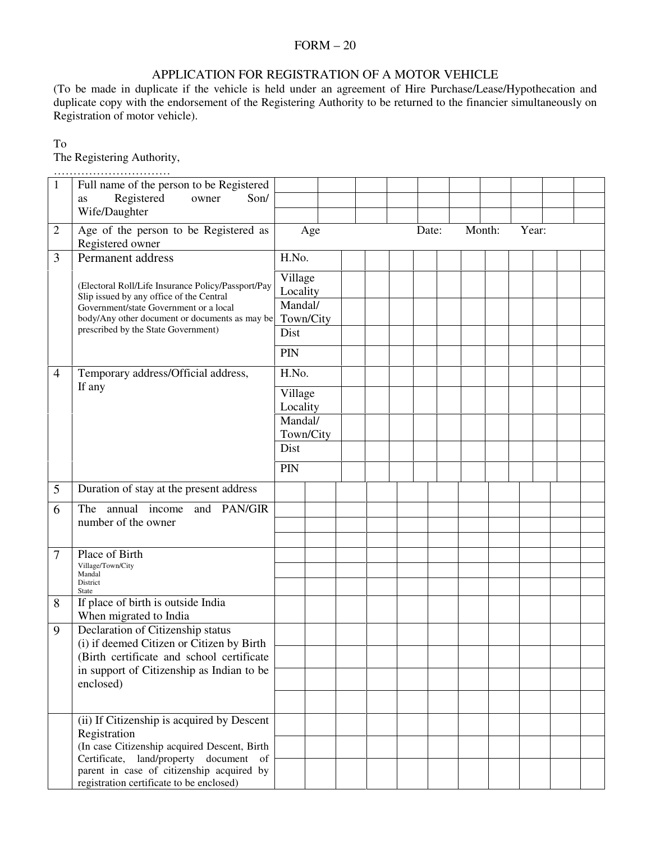### FORM – 20

# APPLICATION FOR REGISTRATION OF A MOTOR VEHICLE

(To be made in duplicate if the vehicle is held under an agreement of Hire Purchase/Lease/Hypothecation and duplicate copy with the endorsement of the Registering Authority to be returned to the financier simultaneously on Registration of motor vehicle).

## To

The Registering Authority,

| 1              | Full name of the person to be Registered                                                 |           |  |       |        |       |  |
|----------------|------------------------------------------------------------------------------------------|-----------|--|-------|--------|-------|--|
|                | Registered<br>owner<br>Son/<br>as                                                        |           |  |       |        |       |  |
|                | Wife/Daughter                                                                            |           |  |       |        |       |  |
|                |                                                                                          |           |  |       |        |       |  |
| 2              | Age of the person to be Registered as                                                    | Age       |  | Date: | Month: | Year: |  |
|                | Registered owner                                                                         |           |  |       |        |       |  |
| 3              | Permanent address                                                                        | H.No.     |  |       |        |       |  |
|                |                                                                                          | Village   |  |       |        |       |  |
|                | (Electoral Roll/Life Insurance Policy/Passport/Pay                                       | Locality  |  |       |        |       |  |
|                | Slip issued by any office of the Central                                                 | Mandal/   |  |       |        |       |  |
|                | Government/state Government or a local<br>body/Any other document or documents as may be | Town/City |  |       |        |       |  |
|                | prescribed by the State Government)                                                      | Dist      |  |       |        |       |  |
|                |                                                                                          |           |  |       |        |       |  |
|                |                                                                                          | PIN       |  |       |        |       |  |
| $\overline{4}$ | Temporary address/Official address,                                                      | H.No.     |  |       |        |       |  |
|                | If any                                                                                   | Village   |  |       |        |       |  |
|                |                                                                                          | Locality  |  |       |        |       |  |
|                |                                                                                          | Mandal/   |  |       |        |       |  |
|                |                                                                                          | Town/City |  |       |        |       |  |
|                |                                                                                          | Dist      |  |       |        |       |  |
|                |                                                                                          | PIN       |  |       |        |       |  |
|                |                                                                                          |           |  |       |        |       |  |
| 5              | Duration of stay at the present address                                                  |           |  |       |        |       |  |
| 6              | The annual income and PAN/GIR                                                            |           |  |       |        |       |  |
|                | number of the owner                                                                      |           |  |       |        |       |  |
|                |                                                                                          |           |  |       |        |       |  |
| 7              | Place of Birth                                                                           |           |  |       |        |       |  |
|                | Village/Town/City<br>Mandal                                                              |           |  |       |        |       |  |
|                | District                                                                                 |           |  |       |        |       |  |
|                | <b>State</b>                                                                             |           |  |       |        |       |  |
| 8              | If place of birth is outside India                                                       |           |  |       |        |       |  |
|                | When migrated to India                                                                   |           |  |       |        |       |  |
| 9              | Declaration of Citizenship status<br>(i) if deemed Citizen or Citizen by Birth           |           |  |       |        |       |  |
|                | (Birth certificate and school certificate                                                |           |  |       |        |       |  |
|                | in support of Citizenship as Indian to be                                                |           |  |       |        |       |  |
|                | enclosed)                                                                                |           |  |       |        |       |  |
|                |                                                                                          |           |  |       |        |       |  |
|                |                                                                                          |           |  |       |        |       |  |
|                | (ii) If Citizenship is acquired by Descent                                               |           |  |       |        |       |  |
|                | Registration                                                                             |           |  |       |        |       |  |
|                | (In case Citizenship acquired Descent, Birth<br>Certificate, land/property document of   |           |  |       |        |       |  |
|                | parent in case of citizenship acquired by                                                |           |  |       |        |       |  |
|                | registration certificate to be enclosed)                                                 |           |  |       |        |       |  |
|                |                                                                                          |           |  |       |        |       |  |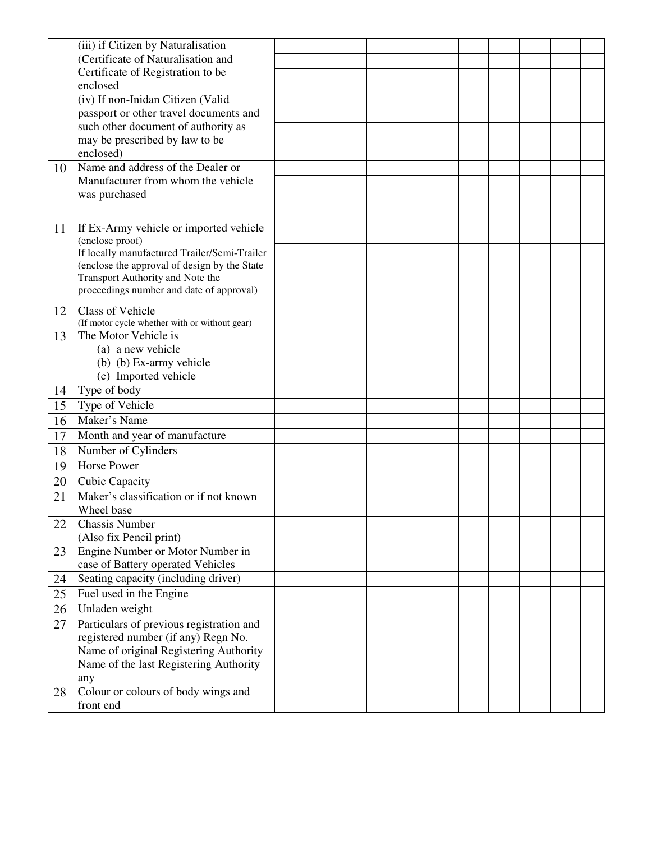|    | (iii) if Citizen by Naturalisation                        |  |  |  |  |  |  |
|----|-----------------------------------------------------------|--|--|--|--|--|--|
|    | (Certificate of Naturalisation and                        |  |  |  |  |  |  |
|    | Certificate of Registration to be                         |  |  |  |  |  |  |
|    | enclosed                                                  |  |  |  |  |  |  |
|    | (iv) If non-Inidan Citizen (Valid                         |  |  |  |  |  |  |
|    | passport or other travel documents and                    |  |  |  |  |  |  |
|    | such other document of authority as                       |  |  |  |  |  |  |
|    | may be prescribed by law to be                            |  |  |  |  |  |  |
|    | enclosed)                                                 |  |  |  |  |  |  |
| 10 | Name and address of the Dealer or                         |  |  |  |  |  |  |
|    | Manufacturer from whom the vehicle                        |  |  |  |  |  |  |
|    | was purchased                                             |  |  |  |  |  |  |
|    |                                                           |  |  |  |  |  |  |
|    |                                                           |  |  |  |  |  |  |
| 11 | If Ex-Army vehicle or imported vehicle<br>(enclose proof) |  |  |  |  |  |  |
|    | If locally manufactured Trailer/Semi-Trailer              |  |  |  |  |  |  |
|    | (enclose the approval of design by the State              |  |  |  |  |  |  |
|    | Transport Authority and Note the                          |  |  |  |  |  |  |
|    | proceedings number and date of approval)                  |  |  |  |  |  |  |
|    | <b>Class of Vehicle</b>                                   |  |  |  |  |  |  |
| 12 | (If motor cycle whether with or without gear)             |  |  |  |  |  |  |
| 13 | The Motor Vehicle is                                      |  |  |  |  |  |  |
|    | (a) a new vehicle                                         |  |  |  |  |  |  |
|    | (b) (b) Ex-army vehicle                                   |  |  |  |  |  |  |
|    | (c) Imported vehicle                                      |  |  |  |  |  |  |
| 14 | Type of body                                              |  |  |  |  |  |  |
| 15 | Type of Vehicle                                           |  |  |  |  |  |  |
| 16 | Maker's Name                                              |  |  |  |  |  |  |
| 17 | Month and year of manufacture                             |  |  |  |  |  |  |
|    |                                                           |  |  |  |  |  |  |
| 18 | Number of Cylinders                                       |  |  |  |  |  |  |
| 19 | <b>Horse Power</b>                                        |  |  |  |  |  |  |
| 20 | Cubic Capacity                                            |  |  |  |  |  |  |
| 21 | Maker's classification or if not known                    |  |  |  |  |  |  |
|    | Wheel base                                                |  |  |  |  |  |  |
| 22 | Chassis Number                                            |  |  |  |  |  |  |
|    | (Also fix Pencil print)                                   |  |  |  |  |  |  |
| 23 | Engine Number or Motor Number in                          |  |  |  |  |  |  |
|    | case of Battery operated Vehicles                         |  |  |  |  |  |  |
| 24 | Seating capacity (including driver)                       |  |  |  |  |  |  |
| 25 | Fuel used in the Engine                                   |  |  |  |  |  |  |
| 26 | Unladen weight                                            |  |  |  |  |  |  |
| 27 | Particulars of previous registration and                  |  |  |  |  |  |  |
|    | registered number (if any) Regn No.                       |  |  |  |  |  |  |
|    | Name of original Registering Authority                    |  |  |  |  |  |  |
|    | Name of the last Registering Authority                    |  |  |  |  |  |  |
|    | any                                                       |  |  |  |  |  |  |
| 28 | Colour or colours of body wings and                       |  |  |  |  |  |  |
|    | front end                                                 |  |  |  |  |  |  |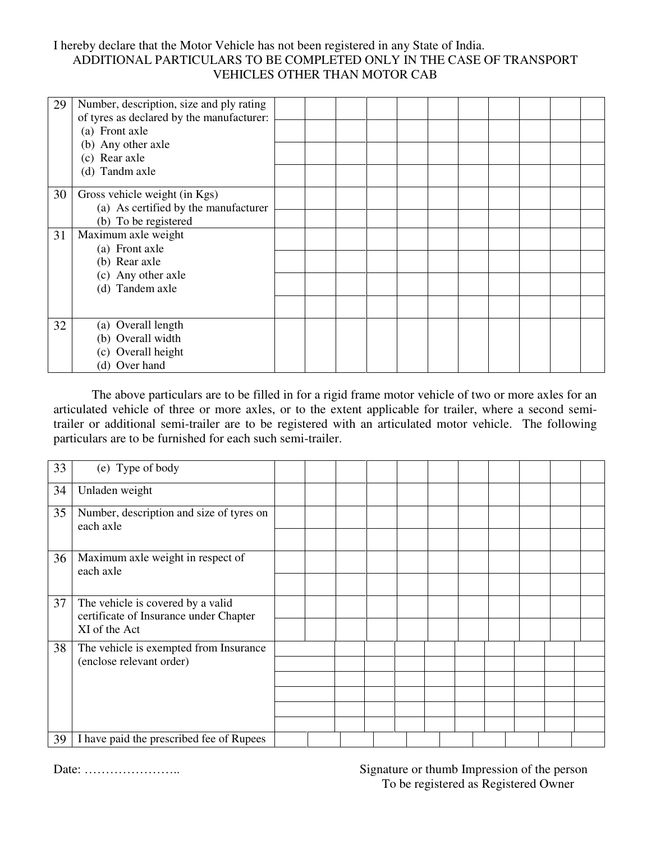# I hereby declare that the Motor Vehicle has not been registered in any State of India. ADDITIONAL PARTICULARS TO BE COMPLETED ONLY IN THE CASE OF TRANSPORT VEHICLES OTHER THAN MOTOR CAB

| 29 | Number, description, size and ply rating<br>of tyres as declared by the manufacturer: |  |  |  |  |  |  |
|----|---------------------------------------------------------------------------------------|--|--|--|--|--|--|
|    | (a) Front axle                                                                        |  |  |  |  |  |  |
|    | (b) Any other axle                                                                    |  |  |  |  |  |  |
|    | (c) Rear axle                                                                         |  |  |  |  |  |  |
|    | (d) Tandm axle                                                                        |  |  |  |  |  |  |
| 30 | Gross vehicle weight (in Kgs)                                                         |  |  |  |  |  |  |
|    | (a) As certified by the manufacturer                                                  |  |  |  |  |  |  |
|    | (b) To be registered                                                                  |  |  |  |  |  |  |
| 31 | Maximum axle weight                                                                   |  |  |  |  |  |  |
|    | (a) Front axle                                                                        |  |  |  |  |  |  |
|    | (b) Rear axle                                                                         |  |  |  |  |  |  |
|    | (c) Any other axle                                                                    |  |  |  |  |  |  |
|    | (d) Tandem axle                                                                       |  |  |  |  |  |  |
|    |                                                                                       |  |  |  |  |  |  |
| 32 | (a) Overall length                                                                    |  |  |  |  |  |  |
|    | (b) Overall width                                                                     |  |  |  |  |  |  |
|    | (c) Overall height                                                                    |  |  |  |  |  |  |
|    | (d) Over hand                                                                         |  |  |  |  |  |  |

 The above particulars are to be filled in for a rigid frame motor vehicle of two or more axles for an articulated vehicle of three or more axles, or to the extent applicable for trailer, where a second semitrailer or additional semi-trailer are to be registered with an articulated motor vehicle. The following particulars are to be furnished for each such semi-trailer.

| 33 | (e) Type of body                                                            |  |  |  |  |  |  |
|----|-----------------------------------------------------------------------------|--|--|--|--|--|--|
| 34 | Unladen weight                                                              |  |  |  |  |  |  |
| 35 | Number, description and size of tyres on<br>each axle                       |  |  |  |  |  |  |
|    |                                                                             |  |  |  |  |  |  |
| 36 | Maximum axle weight in respect of<br>each axle                              |  |  |  |  |  |  |
|    |                                                                             |  |  |  |  |  |  |
| 37 | The vehicle is covered by a valid<br>certificate of Insurance under Chapter |  |  |  |  |  |  |
|    | XI of the Act                                                               |  |  |  |  |  |  |
| 38 | The vehicle is exempted from Insurance                                      |  |  |  |  |  |  |
|    | (enclose relevant order)                                                    |  |  |  |  |  |  |
|    |                                                                             |  |  |  |  |  |  |
|    |                                                                             |  |  |  |  |  |  |
|    |                                                                             |  |  |  |  |  |  |
|    |                                                                             |  |  |  |  |  |  |
| 39 | I have paid the prescribed fee of Rupees                                    |  |  |  |  |  |  |

Date: ………………….. Signature or thumb Impression of the person To be registered as Registered Owner